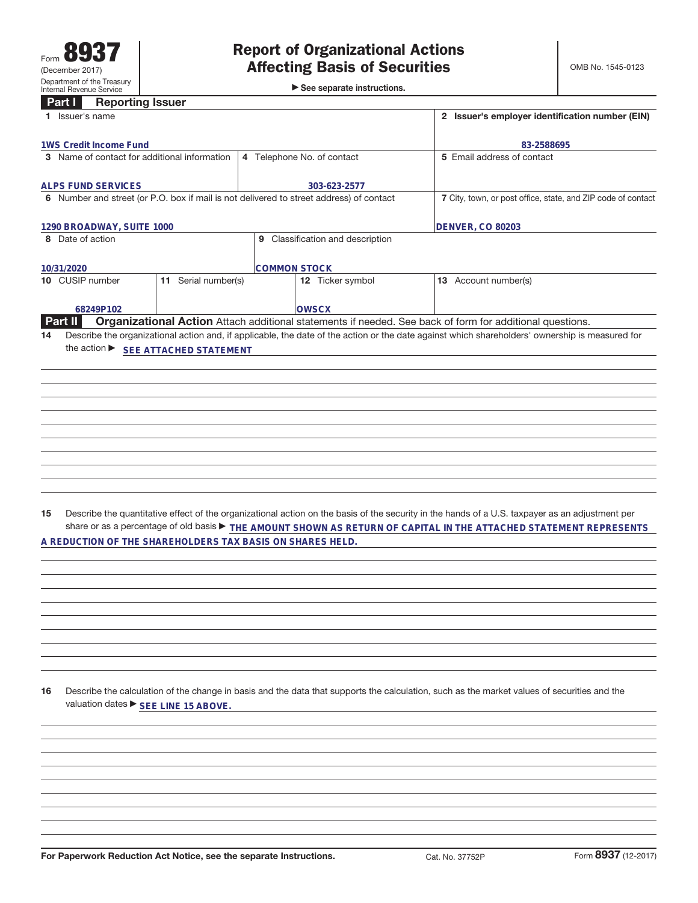►<br>► See separate instructions.

## **Part I Reporting Issuer**

| $\mathbf{u}$ .<br>mohormia issuei                                                       |                     |                                                              |                                                                                                                                                 |
|-----------------------------------------------------------------------------------------|---------------------|--------------------------------------------------------------|-------------------------------------------------------------------------------------------------------------------------------------------------|
| 1 Issuer's name                                                                         |                     |                                                              | 2 Issuer's employer identification number (EIN)                                                                                                 |
| 1WS Credit Income Fund                                                                  |                     |                                                              | 83-2588695                                                                                                                                      |
| 3 Name of contact for additional information                                            |                     | 4 Telephone No. of contact                                   | 5 Email address of contact                                                                                                                      |
|                                                                                         |                     |                                                              |                                                                                                                                                 |
| <b>ALPS FUND SERVICES</b>                                                               |                     | 303-623-2577                                                 |                                                                                                                                                 |
| 6 Number and street (or P.O. box if mail is not delivered to street address) of contact |                     | 7 City, town, or post office, state, and ZIP code of contact |                                                                                                                                                 |
|                                                                                         |                     |                                                              |                                                                                                                                                 |
| 1290 BROADWAY, SUITE 1000                                                               |                     | DENVER, CO 80203                                             |                                                                                                                                                 |
| 8 Date of action                                                                        |                     | 9 Classification and description                             |                                                                                                                                                 |
|                                                                                         |                     |                                                              |                                                                                                                                                 |
| 10/31/2020                                                                              |                     | <b>COMMON STOCK</b>                                          |                                                                                                                                                 |
| 10 CUSIP number                                                                         | 11 Serial number(s) | 12 Ticker symbol                                             | 13 Account number(s)                                                                                                                            |
|                                                                                         |                     |                                                              |                                                                                                                                                 |
| 68249P102                                                                               |                     | <b>OWSCX</b>                                                 |                                                                                                                                                 |
| <b>Part II</b>                                                                          |                     |                                                              | Organizational Action Attach additional statements if needed. See back of form for additional questions.                                        |
| 14                                                                                      |                     |                                                              | Describe the organizational action and, if applicable, the date of the action or the date against which shareholders' ownership is measured for |
| the action ▶ SEE ATTACHED STATEMENT                                                     |                     |                                                              |                                                                                                                                                 |
|                                                                                         |                     |                                                              |                                                                                                                                                 |
|                                                                                         |                     |                                                              |                                                                                                                                                 |
|                                                                                         |                     |                                                              |                                                                                                                                                 |
|                                                                                         |                     |                                                              |                                                                                                                                                 |
|                                                                                         |                     |                                                              |                                                                                                                                                 |
|                                                                                         |                     |                                                              |                                                                                                                                                 |
|                                                                                         |                     |                                                              |                                                                                                                                                 |
|                                                                                         |                     |                                                              |                                                                                                                                                 |
|                                                                                         |                     |                                                              |                                                                                                                                                 |
|                                                                                         |                     |                                                              |                                                                                                                                                 |
|                                                                                         |                     |                                                              |                                                                                                                                                 |
|                                                                                         |                     |                                                              |                                                                                                                                                 |
|                                                                                         |                     |                                                              |                                                                                                                                                 |
| 15                                                                                      |                     |                                                              | Describe the quantitative effect of the organizational action on the basis of the security in the hands of a U.S. taxpayer as an adjustment per |
|                                                                                         |                     |                                                              | share or as a percentage of old basis $\blacktriangleright$ THE AMOUNT SHOWN AS RETURN OF CAPITAL IN THE ATTACHED STATEMENT REPRESENTS          |
| A REDUCTION OF THE SHAREHOLDERS TAX BASIS ON SHARES HELD.                               |                     |                                                              |                                                                                                                                                 |
|                                                                                         |                     |                                                              |                                                                                                                                                 |
|                                                                                         |                     |                                                              |                                                                                                                                                 |
|                                                                                         |                     |                                                              |                                                                                                                                                 |
|                                                                                         |                     |                                                              |                                                                                                                                                 |
|                                                                                         |                     |                                                              |                                                                                                                                                 |
|                                                                                         |                     |                                                              |                                                                                                                                                 |
|                                                                                         |                     |                                                              |                                                                                                                                                 |
|                                                                                         |                     |                                                              |                                                                                                                                                 |
|                                                                                         |                     |                                                              |                                                                                                                                                 |
|                                                                                         |                     |                                                              |                                                                                                                                                 |
|                                                                                         |                     |                                                              |                                                                                                                                                 |
| 16                                                                                      |                     |                                                              | Describe the calculation of the change in basis and the data that supports the calculation, such as the market values of securities and the     |
| valuation dates ▶ SEE LINE 15 ABOVE.                                                    |                     |                                                              |                                                                                                                                                 |
|                                                                                         |                     |                                                              |                                                                                                                                                 |
|                                                                                         |                     |                                                              |                                                                                                                                                 |
|                                                                                         |                     |                                                              |                                                                                                                                                 |
|                                                                                         |                     |                                                              |                                                                                                                                                 |
|                                                                                         |                     |                                                              |                                                                                                                                                 |
|                                                                                         |                     |                                                              |                                                                                                                                                 |
|                                                                                         |                     |                                                              |                                                                                                                                                 |
|                                                                                         |                     |                                                              |                                                                                                                                                 |
|                                                                                         |                     |                                                              |                                                                                                                                                 |
|                                                                                         |                     |                                                              |                                                                                                                                                 |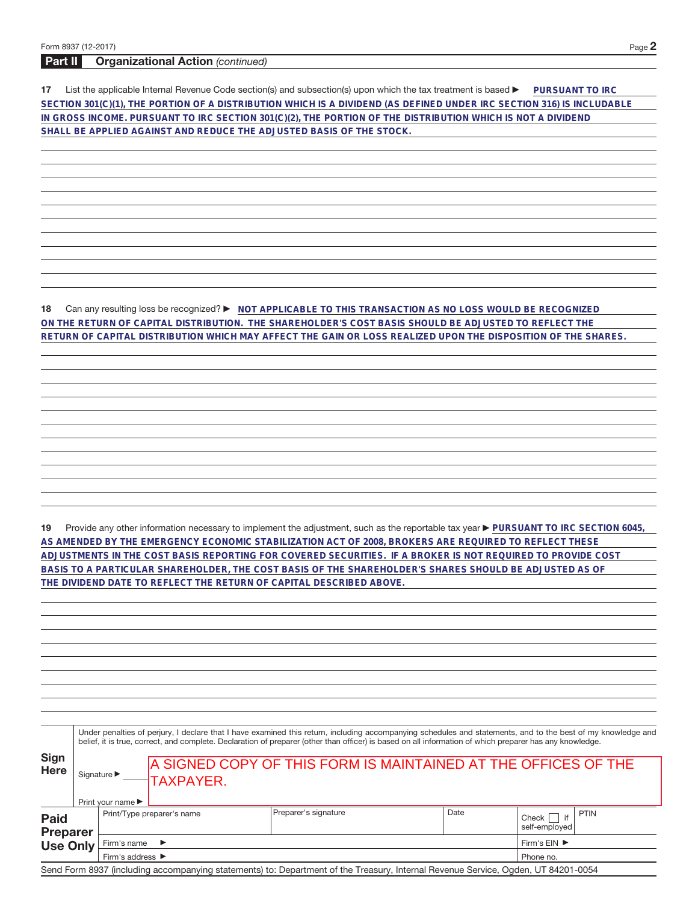## **Part II Organizational Action** (continued)

**17** List the applicable Internal Revenue Code section(s) and subsection(s) upon which the tax treatment is based **DuRSUANT TO IRC SECTION 301(C)(1), THE PORTION OF A DISTRIBUTION WHICH IS A DIVIDEND (AS DEFINED UNDER IRC SECTION 316) IS INCLUDABLE IN GROSS INCOME. PURSUANT TO IRC SECTION 301(C)(2), THE PORTION OF THE DISTRIBUTION WHICH IS NOT A DIVIDEND SHALL BE APPLIED AGAINST AND REDUCE THE ADJUSTED BASIS OF THE STOCK.**

**18** Can any resulting loss be recognized? ▶ NOT APPLICABLE TO THIS TRANSACTION AS NO LOSS WOULD BE RECOGNIZED **ON THE RETURN OF CAPITAL DISTRIBUTION. THE SHAREHOLDER'S COST BASIS SHOULD BE ADJUSTED TO REFLECT THE RETURN OF CAPITAL DISTRIBUTION WHICH MAY AFFECT THE GAIN OR LOSS REALIZED UPON THE DISPOSITION OF THE SHARES.**

19 Provide any other information necessary to implement the adjustment, such as the reportable tax year **PURSUANT TO IRC SECTION 6045**, **AS AMENDED BY THE EMERGENCY ECONOMIC STABILIZATION ACT OF 2008, BROKERS ARE REQUIRED TO REFLECT THESE ADJUSTMENTS IN THE COST BASIS REPORTING FOR COVERED SECURITIES. IF A BROKER IS NOT REQUIRED TO PROVIDE COST BASIS TO A PARTICULAR SHAREHOLDER, THE COST BASIS OF THE SHAREHOLDER'S SHARES SHOULD BE ADJUSTED AS OF THE DIVIDEND DATE TO REFLECT THE RETURN OF CAPITAL DESCRIBED ABOVE.**

|                                | Under penalties of perjury, I declare that I have examined this return, including accompanying schedules and statements, and to the best of my knowledge and<br>belief, it is true, correct, and complete. Declaration of preparer (other than officer) is based on all information of which preparer has any knowledge. |                                                                          |                                                                              |                                                                                                                                   |                                                 |             |  |  |  |
|--------------------------------|--------------------------------------------------------------------------------------------------------------------------------------------------------------------------------------------------------------------------------------------------------------------------------------------------------------------------|--------------------------------------------------------------------------|------------------------------------------------------------------------------|-----------------------------------------------------------------------------------------------------------------------------------|-------------------------------------------------|-------------|--|--|--|
| <b>Sign</b><br><b>Here</b>     |                                                                                                                                                                                                                                                                                                                          | Signature $\blacktriangleright$<br>Print your name $\blacktriangleright$ | A SIGNED COPY OF THIS FORM IS MAINTAINED AT THE OFFICES OF THE<br>-TAXPAYER. |                                                                                                                                   |                                                 |             |  |  |  |
| <b>Paid</b><br><b>Preparer</b> |                                                                                                                                                                                                                                                                                                                          | Print/Type preparer's name                                               | Preparer's signature                                                         | Date                                                                                                                              | if<br>Check  <br>self-employed                  | <b>PTIN</b> |  |  |  |
| <b>Use Only</b>                | Firm's name<br>$\rightarrow$<br>Firm's address ▶                                                                                                                                                                                                                                                                         |                                                                          |                                                                              |                                                                                                                                   | Firm's $EIN$ $\blacktriangleright$<br>Phone no. |             |  |  |  |
|                                |                                                                                                                                                                                                                                                                                                                          |                                                                          |                                                                              | Send Form 8937 (including accompanying statements) to: Department of the Treasury, Internal Revenue Service, Ogden, UT 84201-0054 |                                                 |             |  |  |  |